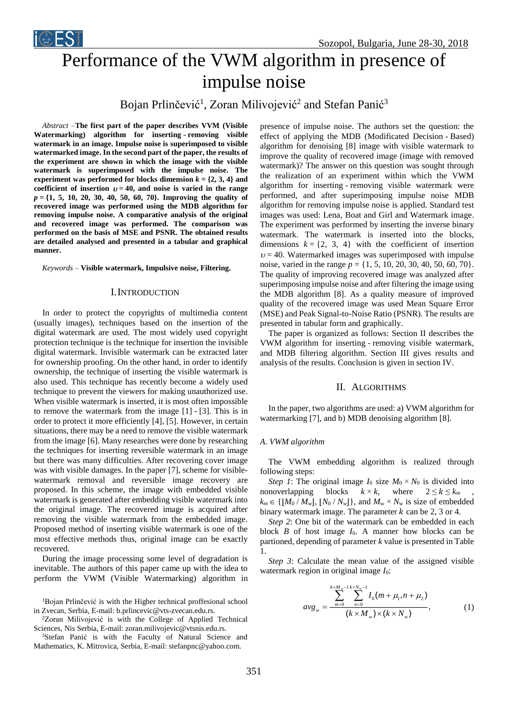# Performance of the VWM algorithm in presence of impulse noise

Bojan Prlinčević<sup>1</sup>, Zoran Milivojević<sup>2</sup> and Stefan Panić<sup>3</sup>

*Abstract –***The first part of the paper describes VVM (Visible Watermarking) algorithm for inserting - removing visible watermark in an image. Impulse noise is superimposed to visible watermarked image. In the second part of the paper, the results of the experiment are shown in which the image with the visible watermark is superimposed with the impulse noise. The experiment was performed for blocks dimension**  $k = \{2, 3, 4\}$  **and** coefficient of insertion  $v = 40$ , and noise is varied in the range *p* **= {1, 5, 10, 20, 30, 40, 50, 60, 70}. Improving the quality of recovered image was performed using the MDB algorithm for removing impulse noise. A comparative analysis of the original and recovered image was performed. The comparison was performed on the basis of MSE and PSNR. The obtained results are detailed analysed and presented in a tabular and graphical manner.**

*Keywords –* **Visible watermark, Impulsive noise, Filtering.**

#### I.INTRODUCTION

In order to protect the copyrights of multimedia content (usually images), techniques based on the insertion of the digital watermark are used. The most widely used copyright protection technique is the technique for insertion the invisible digital watermark. Invisible watermark can be extracted later for ownership proofing. On the other hand, in order to identify ownership, the technique of inserting the visible watermark is also used. This technique has recently become a widely used technique to prevent the viewers for making unauthorized use. When visible watermark is inserted, it is most often impossible to remove the watermark from the image [1] - [3]. This is in order to protect it more efficiently [4], [5]. However, in certain situations, there may be a need to remove the visible watermark from the image [6]. Many researches were done by researching the techniques for inserting reversible watermark in an image but there was many difficulties. After recovering cover image was with visible damages. In the paper [7], scheme for visiblewatermark removal and reversible image recovery are proposed. In this scheme, the image with embedded visible watermark is generated after embedding visible watermark into the original image. The recovered image is acquired after removing the visible watermark from the embedded image. Proposed method of inserting visible watermark is one of the most effective methods thus, original image can be exactly recovered.

During the image processing some level of degradation is inevitable. The authors of this paper came up with the idea to perform the VWM (Visible Watermarking) algorithm in

<sup>1</sup>Bojan Prlinčević is with the Higher technical proffesional school in Zvecan, Serbia, E-mail: b.prlincevic@vts-zvecan.edu.rs.

<sup>2</sup>Zoran Milivojević is with the College of Applied Technical Sciences, Nis Serbia, E-mail: zoran.milivojevic@vtsnis.edu.rs.

<sup>3</sup>Stefan Panić is with the Faculty of Natural Science and Mathematics, K. Mitrovica, Serbia, E-mail: stefanpnc@yahoo.com.

presence of impulse noise. The authors set the question: the effect of applying the MDB (Modificated Decision - Based) algorithm for denoising [8] image with visible watermark to improve the quality of recovered image (image with removed watermark)? The answer on this question was sought through the realization of an experiment within which the VWM algorithm for inserting - removing visible watermark were performed, and after superimposing impulse noise MDB algorithm for removing impulse noise is applied. Standard test images was used: Lena, Boat and Girl and Watermark image. The experiment was performed by inserting the inverse binary watermark. The watermark is inserted into the blocks, dimensions  $k = \{2, 3, 4\}$  with the coefficient of insertion  $v = 40$ . Watermarked images was superimposed with impulse noise, varied in the range *p* = {1, 5, 10, 20, 30, 40, 50, 60, 70}. The quality of improving recovered image was analyzed after superimposing impulse noise and after filtering the image using the MDB algorithm [8]. As a quality measure of improved quality of the recovered image was used Mean Square Error (MSE) and Peak Signal-to-Noise Ratio (PSNR). The results are presented in tabular form and graphically.

The paper is organized as follows: Section II describes the VWM algorithm for inserting - removing visible watermark, and MDB filtering algorithm. Section III gives results and analysis of the results. Conclusion is given in section IV.

#### II. ALGORITHMS

In the paper, two algorithms are used: a) VWM algorithm for watermarking [7], and b) MDB denoising algorithm [8].

#### *A. VWM algorithm*

The VWM embedding algorithm is realized through following steps:

*Step 1*: The original image  $I_0$  size  $M_0 \times N_0$  is divided into nonoverlapping blocks  $k \times k$ , where  $2 \le k \le k_m$  $k_m \in \{ [M_0 / M_w], [N_0 / N_w] \}$ , and  $M_w \times N_w$  is size of embedded binary watermark image. The parameter  $k$  can be 2, 3 or 4.

*Step 2*: One bit of the watermark can be embedded in each block *B* of host image *I*0. A manner how blocks can be partioned, depending of parameter *k* value is presented in Table 1.

*Step 3*: Calculate the mean value of the assigned visible watermark region in original image *I*0:

$$
avg_w = \frac{\sum_{m=0}^{k \times M_w - 1} \sum_{n=0}^{k \times N_w - 1} I_0(m + \mu_1, n + \mu_2)}{(k \times M_w) \times (k \times N_w)},
$$
(1)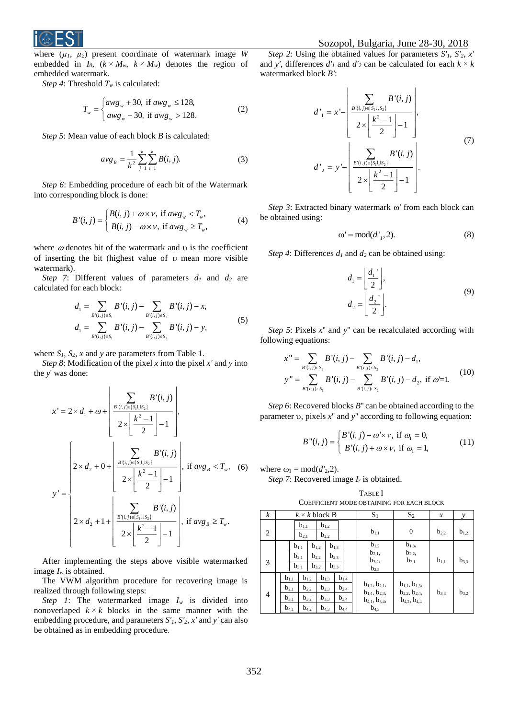

where  $(\mu_1, \mu_2)$  present coordinate of watermark image *W* embedded in  $I_0$ ,  $(k \times M_w, k \times M_w)$  denotes the region of embedded watermark.

*Step 4*: Threshold *T<sup>w</sup>* is calculated:

$$
T_w = \begin{cases} awg_w + 30, & \text{if } awg_w \le 128, \\ awg_w - 30, & \text{if } awg_w > 128. \end{cases}
$$
 (2)

*Step 5*: Mean value of each block *B* is calculated:

$$
avg_B = \frac{1}{k^2} \sum_{j=1}^{k} \sum_{i=1}^{k} B(i, j).
$$
 (3)

*Step 6*: Embedding procedure of each bit of the Watermark into corresponding block is done:

$$
B'(i, j) = \begin{cases} B(i, j) + \omega \times \nu, & \text{if } awg_w < T_w, \\ B(i, j) - \omega \times \nu, & \text{if } awg_w \ge T_w, \end{cases} \tag{4}
$$

where  $\omega$  denotes bit of the watermark and  $\upsilon$  is the coefficient of inserting the bit (highest value of  $\nu$  mean more visible watermark).

*Step 7*: Different values of parameters *d<sup>1</sup>* and *d<sup>2</sup>* are calculated for each block:

$$
d_1 = \sum_{B'(i,j)\in S_1} B'(i,j) - \sum_{B'(i,j)\in S_2} B'(i,j) - x,
$$
  
\n
$$
d_1 = \sum_{B'(i,j)\in S_1} B'(i,j) - \sum_{B'(i,j)\in S_2} B'(i,j) - y,
$$
\n(5)

where  $S_1$ ,  $S_2$ ,  $x$  and  $y$  are parameters from Table 1.

*Step 8*: Modification of the pixel *x* into the pixel *x'* and *y* into the *y*' was done:

$$
x' = 2 \times d_1 + \omega + \left[ \frac{\sum_{B'(i,j) \in \{S_1 \cup S_2\}} B'(i,j)}{2 \times \left[ \frac{k^2 - 1}{2} \right] - 1} \right],
$$
  

$$
y' = \left\{ 2 \times d_2 + 0 + \left[ \frac{\sum_{B'(i,j) \in \{S_1 \cup S_2\}} B'(i,j)}{2 \times \left[ \frac{k^2 - 1}{2} \right] - 1} \right], \text{ if } avg_B < T_w, \quad (6)
$$
  

$$
y' = \left\{ 2 \times d_2 + 1 + \left[ \frac{\sum_{B'(i,j) \in \{S_1 \cup S_2\}} B'(i,j)}{2 \times \left[ \frac{k^2 - 1}{2} \right] - 1} \right], \text{ if } avg_B \ge T_w.
$$

After implementing the steps above visible watermarked image  $I_w$  is obtained.

The VWM algorithm procedure for recovering image is realized through following steps:

*Step 1*: The watermarked image  $I_w$  is divided into nonoverlaped  $k \times k$  blocks in the same manner with the embedding procedure, and parameters *S'1*, *S'2*, *x'* and *y'* can also be obtained as in embedding procedure.

## Sozopol, Bulgaria, June 28-30, 2018

*Step 2*: Using the obtained values for parameters *S'1*, *S'2*, *x'* and *y'*, differences  $d'_1$  and  $d'_2$  can be calculated for each  $k \times k$ watermarked block *B'*:

$$
d'_{1} = x' - \left| \frac{\sum_{B'(i,j)\in\{S_{1}\cup S_{2}\}} B'(i,j)}{2 \times \left\lfloor \frac{k^{2}-1}{2} \right\rfloor - 1} \right|,
$$
\n
$$
d'_{2} = y' - \left| \frac{\sum_{B'(i,j)\in\{S_{1}\cup S_{2}\}} B'(i,j)}{2 \times \left\lfloor \frac{k^{2}-1}{2} \right\rfloor - 1} \right|.
$$
\n(7)

*Step 3*: Extracted binary watermark  $\omega'$  from each block can be obtained using:

$$
\omega' = \text{mod}(d', 2). \tag{8}
$$

*Step 4*: Differences *d<sup>1</sup>* and *d<sup>2</sup>* can be obtained using:

$$
d_1 = \left[ \frac{d_1}{2} \right],
$$
  
\n
$$
d_2 = \left[ \frac{d_2}{2} \right].
$$
\n(9)

*Step 5*: Pixels *x*'' and *y*'' can be recalculated according with following equations:

$$
x'' = \sum_{B'(i,j)\in S_1} B'(i, j) - \sum_{B'(i,j)\in S_2} B'(i, j) - d_1,
$$
  

$$
y'' = \sum_{B'(i,j)\in S_1} B'(i, j) - \sum_{B'(i,j)\in S_2} B'(i, j) - d_2, \text{ if } \omega = 1.
$$
 (10)

*Step 6*: Recovered blocks *B*'' can be obtained according to the parameter  $\upsilon$ , pixels  $x''$  and  $y''$  according to following equation:

$$
B''(i, j) = \begin{cases} B'(i, j) - \omega' \times \nu, \text{ if } \omega_1 = 0, \\ B'(i, j) + \omega \times \nu, \text{ if } \omega_1 = 1, \end{cases}
$$
(11)

where  $\omega_1 = \text{mod}(d'_2, 2)$ .

*Step 7*: Recovered image *I<sup>r</sup>* is obtained.

TABLE I COEFFICIENT MODE OBTAINING FOR EACH BLOCK

| $\boldsymbol{k}$ | $k \times k$ block B                                                                                 |                                                                                                      | S <sub>1</sub>                                                                     | S <sub>2</sub>                                                          | $\boldsymbol{x}$ | $\mathbf{v}$ |
|------------------|------------------------------------------------------------------------------------------------------|------------------------------------------------------------------------------------------------------|------------------------------------------------------------------------------------|-------------------------------------------------------------------------|------------------|--------------|
| $\overline{2}$   | $b_{1,1}$<br>$b_{2,1}$                                                                               | $b_{1,2}$<br>$b_{2,2}$                                                                               | $b_{1,1}$                                                                          | $\overline{0}$                                                          | $b_{2,2}$        | $b_{1,2}$    |
| 3                | $b_{1,1}$<br>$b_{2,1}$<br>$b_{3,1}$                                                                  | $b_{1,3}$<br>$b_{1,2}$<br>$b_{2,3}$<br>$b_{2,2}$<br>$b_{3,3}$<br>$b_{3,2}$                           | $b_{1,2}$<br>$b_{2,1}$<br>$b_{3,2}$<br>$b_{2,3}$                                   | $b_{1,3}$<br>$b_{2,2}$<br>$b_{3,1}$                                     | $b_{1,1}$        | $b_{3,3}$    |
| 4                | $b_{1,1}$<br>$b_{1,2}$<br>$b_{2,1}$<br>$b_{2,2}$<br>$b_{3.1}$<br>$b_{3,2}$<br>$b_{4,1}$<br>$b_{4,2}$ | $b_{1,4}$<br>$b_{1,3}$<br>$b_{2,4}$<br>$b_{2,3}$<br>$b_{3,4}$<br>$b_{3,3}$<br>$b_{4,4}$<br>$b_{4,3}$ | $b_{1,2}, b_{2,1},$<br>$b_{1,4}$ , $b_{2,3}$ ,<br>$b_{4,1}, b_{3,4},$<br>$b_{4,3}$ | $b_{1,1}, b_{1,3},$<br>$b_{2,2}$ , $b_{2,4}$ ,<br>$b_{4,2}$ , $b_{4,4}$ | $b_{3,3}$        | $b_{3,2}$    |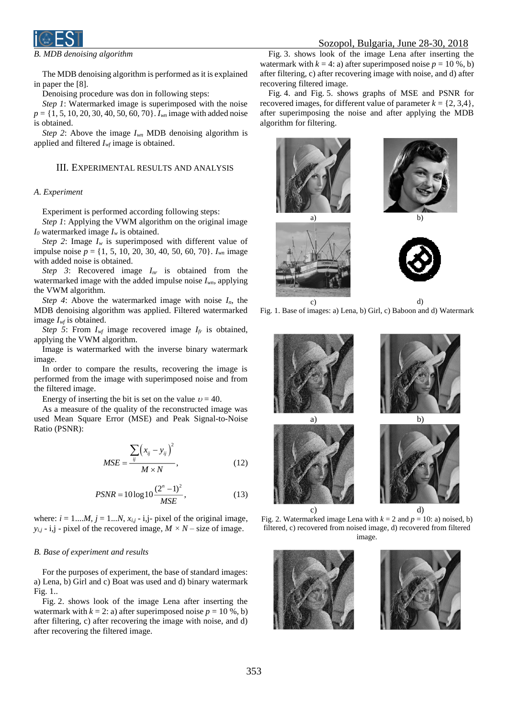

*B. MDB denoising algorithm*

The MDB denoising algorithm is performed as it is explained in paper the [8].

Denoising procedure was don in following steps:

*Step 1*: Watermarked image is superimposed with the noise *p* = {1, 5, 10, 20, 30, 40, 50, 60, 70}. *Iwn* image with added noise is obtained.

*Step 2*: Above the image *Iwn* MDB denoising algorithm is applied and filtered *Iwf* image is obtained.

## III. EXPERIMENTAL RESULTS AND ANALYSIS

#### *A*. *Experiment*

Experiment is performed according following steps:

*Step 1*: Applying the VWM algorithm on the original image  $I_0$  watermarked image  $I_w$  is obtained.

*Step* 2: Image  $I_w$  is superimposed with different value of impulse noise *p* = {1, 5, 10, 20, 30, 40, 50, 60, 70}. *Iwn* image with added noise is obtained.

*Step 3*: Recovered image *Inr* is obtained from the watermarked image with the added impulse noise *Iwn*, applying the VWM algorithm.

*Step 4*: Above the watermarked image with noise *In*, the MDB denoising algorithm was applied. Filtered watermarked image *Iwf* is obtained.

*Step* 5: From  $I_{wf}$  image recovered image  $I_{fr}$  is obtained, applying the VWM algorithm.

Image is watermarked with the inverse binary watermark image.

In order to compare the results, recovering the image is performed from the image with superimposed noise and from the filtered image.

Energy of inserting the bit is set on the value  $\nu = 40$ .

As a measure of the quality of the reconstructed image was used Mean Square Error (MSE) and Peak Signal-to-Noise Ratio (PSNR):

$$
MSE = \frac{\sum_{ij} (x_{ij} - y_{ij})^2}{M \times N},
$$
\n(12)

$$
PSNR = 10\log 10 \frac{(2^n - 1)^2}{MSE},
$$
\n(13)

where:  $i = 1...M$ ,  $j = 1...N$ ,  $x_{i,j}$  - i,j- pixel of the original image,  $y_{i,j}$  - i,j - pixel of the recovered image,  $M \times N$  – size of image.

#### *B. Base of experiment and results*

For the purposes of experiment, the base of standard images: a) Lena, b) Girl and c) Boat was used and d) binary watermark Fig. 1..

Fig. 2. shows look of the image Lena after inserting the watermark with  $k = 2$ : a) after superimposed noise  $p = 10, 6$ , b) after filtering, c) after recovering the image with noise, and d) after recovering the filtered image.

Fig. 3. shows look of the image Lena after inserting the watermark with  $k = 4$ : a) after superimposed noise  $p = 10, 6, 6$ after filtering, c) after recovering image with noise, and d) after recovering filtered image.

Fig. 4. and Fig. 5. shows graphs of MSE and PSNR for recovered images, for different value of parameter  $k = \{2, 3, 4\}$ , after superimposing the noise and after applying the MDB algorithm for filtering.







Fig. 2. Watermarked image Lena with  $k = 2$  and  $p = 10$ : a) noised, b) filtered, c) recovered from noised image, d) recovered from filtered image.